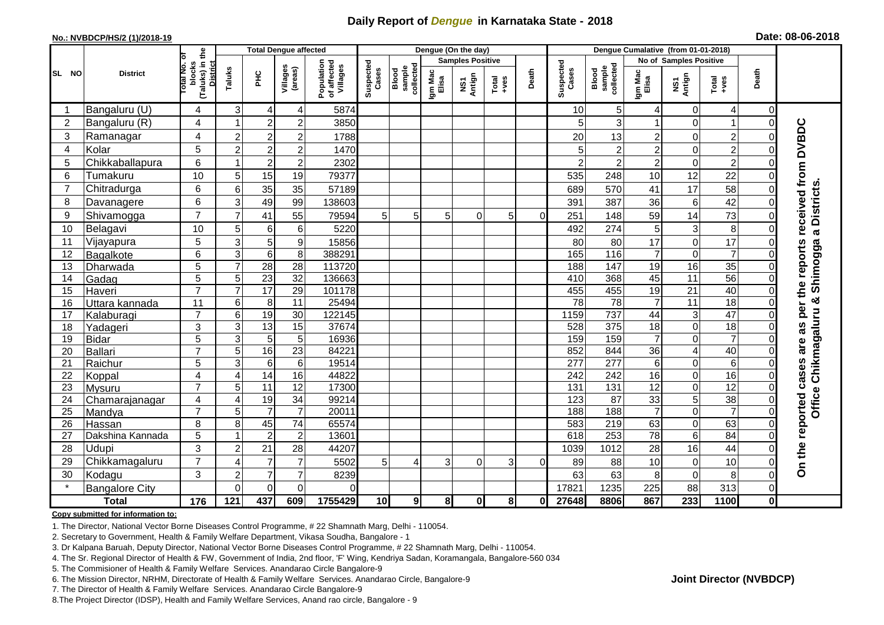## **Daily Report of** *Dengue* **in Karnataka State - 2018**

#### **No.: NVBDCP/HS/2 (1)/2018-19**

|  | Date: 08-06-2018 |  |  |
|--|------------------|--|--|
|--|------------------|--|--|

|                 |                       |                                                             |                | <b>Total Dengue affected</b> |                     |                                       | Dengue (On the day) |                              |                         |               |                                                                                                                                                                                                                                                                                                                                                                                                             |          |                    | Dengue Cumalative (from 01-01-2018) |                  |                  |                 |                |                     |
|-----------------|-----------------------|-------------------------------------------------------------|----------------|------------------------------|---------------------|---------------------------------------|---------------------|------------------------------|-------------------------|---------------|-------------------------------------------------------------------------------------------------------------------------------------------------------------------------------------------------------------------------------------------------------------------------------------------------------------------------------------------------------------------------------------------------------------|----------|--------------------|-------------------------------------|------------------|------------------|-----------------|----------------|---------------------|
|                 |                       |                                                             |                |                              |                     |                                       |                     |                              | <b>Samples Positive</b> |               |                                                                                                                                                                                                                                                                                                                                                                                                             |          |                    | <b>No of Samples Positive</b>       |                  |                  |                 |                |                     |
| SL NO           | <b>District</b>       | (Taluks) in the<br>otal No. of<br>blocks<br><b>District</b> | Taluks         | ЭHС                          | Villages<br>(areas) | Population<br>of affected<br>Villages | Suspected<br>Cases  | sample<br>collected<br>Blood | Igm Mac<br>Elisa        | NS1<br>Antign | $\begin{array}{c}\n\text{Total} \\ \text{1-4} \\ \text{1-4} \\ \text{1-4} \\ \text{1-4} \\ \text{1-4} \\ \text{1-4} \\ \text{1-4} \\ \text{1-4} \\ \text{1-4} \\ \text{1-4} \\ \text{1-4} \\ \text{1-4} \\ \text{1-4} \\ \text{1-4} \\ \text{1-4} \\ \text{1-4} \\ \text{1-4} \\ \text{1-4} \\ \text{1-4} \\ \text{1-4} \\ \text{1-4} \\ \text{1-4} \\ \text{1-4} \\ \text{1-4} \\ \text{1-4} \\ \text{1-4$ | Death    | Suspected<br>Cases | sample<br>collected<br>Blood        | Igm Mad<br>Elisa | NS1<br>Antign    | Total<br>+ves   | Death          |                     |
|                 | Bangaluru (U)         | 4                                                           | 3              | $\overline{4}$               | 4                   | 5874                                  |                     |                              |                         |               |                                                                                                                                                                                                                                                                                                                                                                                                             |          | 10                 | 5                                   | 4                | 0                | 4               | $\overline{0}$ |                     |
| 2               | Bangaluru (R)         | 4                                                           |                | $\overline{2}$               | $\overline{c}$      | 3850                                  |                     |                              |                         |               |                                                                                                                                                                                                                                                                                                                                                                                                             |          | 5                  | 3                                   | 1                | $\Omega$         | $\overline{1}$  | 0              |                     |
| 3               | Ramanagar             | 4                                                           | $\overline{c}$ | $\overline{c}$               | $\overline{2}$      | 1788                                  |                     |                              |                         |               |                                                                                                                                                                                                                                                                                                                                                                                                             |          | 20                 | 13                                  | $\overline{c}$   | $\mathbf 0$      | $\overline{c}$  |                | received from DVBDC |
| 4               | Kolar                 | 5                                                           | $\overline{c}$ | $\boldsymbol{2}$             | $\overline{c}$      | 1470                                  |                     |                              |                         |               |                                                                                                                                                                                                                                                                                                                                                                                                             |          | 5                  | $\boldsymbol{2}$                    | $\overline{2}$   | $\mathbf 0$      | $\overline{c}$  |                |                     |
| 5               | Chikkaballapura       | 6                                                           |                | $\overline{c}$               | $\overline{2}$      | 2302                                  |                     |                              |                         |               |                                                                                                                                                                                                                                                                                                                                                                                                             |          | $\overline{2}$     | $\overline{c}$                      | $\overline{c}$   | $\Omega$         | $\overline{2}$  |                |                     |
| 6               | Tumakuru              | 10                                                          | 5              | 15                           | 19                  | 79377                                 |                     |                              |                         |               |                                                                                                                                                                                                                                                                                                                                                                                                             |          | 535                | 248                                 | 10               | 12               | 22              |                |                     |
| $\overline{7}$  | Chitradurga           | 6                                                           | 6              | 35                           | 35                  | 57189                                 |                     |                              |                         |               |                                                                                                                                                                                                                                                                                                                                                                                                             |          | 689                | 570                                 | 41               | 17               | 58              |                |                     |
| 8               | Davanagere            | 6                                                           | 3              | 49                           | 99                  | 138603                                |                     |                              |                         |               |                                                                                                                                                                                                                                                                                                                                                                                                             |          | 391                | 387                                 | 36               | 6                | 42              |                |                     |
| 9               | Shivamogga            | $\overline{7}$                                              | $\overline{7}$ | 41                           | 55                  | 79594                                 | 5                   | 5                            | 5                       | $\Omega$      | 5                                                                                                                                                                                                                                                                                                                                                                                                           | $\Omega$ | 251                | 148                                 | 59               | 14               | 73              |                | a Districts.        |
| 10              | Belagavi              | 10                                                          | 5              | 6                            | 6                   | 5220                                  |                     |                              |                         |               |                                                                                                                                                                                                                                                                                                                                                                                                             |          | 492                | 274                                 | 5                | 3                | $\,8\,$         |                |                     |
| 11              | Vijayapura            | 5                                                           | 3              | 5                            | 9                   | 15856                                 |                     |                              |                         |               |                                                                                                                                                                                                                                                                                                                                                                                                             |          | 80                 | 80                                  | 17               | $\mathbf 0$      | 17              |                |                     |
| 12              | Bagalkote             | 6                                                           | 3              | $6\phantom{1}6$              | $\overline{8}$      | 388291                                |                     |                              |                         |               |                                                                                                                                                                                                                                                                                                                                                                                                             |          | 165                | 116                                 | $\overline{7}$   | $\overline{0}$   | $\overline{7}$  |                | Shimogga<br>reports |
| 13              | Dharwada              | 5                                                           | $\overline{7}$ | 28                           | 28                  | 113720                                |                     |                              |                         |               |                                                                                                                                                                                                                                                                                                                                                                                                             |          | 188                | 147                                 | 19               | 16               | 35              |                |                     |
| 14              | Gadag                 | 5                                                           | 5              | $\overline{23}$              | $\overline{32}$     | 136663                                |                     |                              |                         |               |                                                                                                                                                                                                                                                                                                                                                                                                             |          | 410                | 368                                 | 45               | 11               | $\overline{56}$ |                |                     |
| 15              | Haveri                | $\overline{7}$                                              | $\overline{7}$ | 17                           | 29                  | 101178                                |                     |                              |                         |               |                                                                                                                                                                                                                                                                                                                                                                                                             |          | 455                | 455                                 | 19               | 21               | 40              |                | per the             |
| 16              | Uttara kannada        | 11                                                          | 6              | 8                            | 11                  | 25494                                 |                     |                              |                         |               |                                                                                                                                                                                                                                                                                                                                                                                                             |          | $\overline{78}$    | $\overline{78}$                     | 7                | $\overline{11}$  | 18              |                | ×                   |
| 17              | Kalaburagi            | $\overline{7}$                                              | 6              | 19                           | 30                  | 122145                                |                     |                              |                         |               |                                                                                                                                                                                                                                                                                                                                                                                                             |          | 1159               | 737                                 | 44               | 3                | $\overline{47}$ |                |                     |
| 18              | Yadageri              | 3                                                           | 3              | 13                           | 15                  | 37674                                 |                     |                              |                         |               |                                                                                                                                                                                                                                                                                                                                                                                                             |          | 528                | 375                                 | 18               | $\mathbf 0$      | $\overline{18}$ |                | as                  |
| 19              | <b>Bidar</b>          | $\overline{5}$                                              | 3              | 5                            | $\overline{5}$      | 16936                                 |                     |                              |                         |               |                                                                                                                                                                                                                                                                                                                                                                                                             |          | 159                | 159                                 | $\overline{7}$   | $\mathbf 0$      | $\overline{7}$  |                | are                 |
| 20              | Ballari               | $\overline{7}$                                              | 5              | 16                           | $\overline{23}$     | 84221                                 |                     |                              |                         |               |                                                                                                                                                                                                                                                                                                                                                                                                             |          | 852                | 844                                 | $\overline{36}$  | 4                | 40              |                |                     |
| 21              | Raichur               | $\overline{5}$                                              | 3              | 6                            | $\overline{6}$      | 19514                                 |                     |                              |                         |               |                                                                                                                                                                                                                                                                                                                                                                                                             |          | 277                | $\overline{277}$                    | $\,6$            | $\mathbf 0$      | $\overline{6}$  |                |                     |
| 22              | Koppal                | $\overline{\mathbf{4}}$                                     | $\overline{4}$ | $\overline{14}$              | 16                  | 44822                                 |                     |                              |                         |               |                                                                                                                                                                                                                                                                                                                                                                                                             |          | 242                | 242                                 | 16               | $\mathbf 0$      | 16              | $\Omega$       | cases               |
| 23              | Mysuru                | $\overline{7}$                                              | 5              | 11                           | $\overline{12}$     | 17300                                 |                     |                              |                         |               |                                                                                                                                                                                                                                                                                                                                                                                                             |          | 131                | $\overline{131}$                    | 12               | $\mathbf 0$      | 12              | 0              |                     |
| 24              | Chamarajanagar        | $\overline{4}$                                              | $\overline{4}$ | 19                           | 34                  | 99214                                 |                     |                              |                         |               |                                                                                                                                                                                                                                                                                                                                                                                                             |          | 123                | $\overline{87}$                     | 33               | $\overline{5}$   | $\overline{38}$ | 0              | Office Chikmagaluru |
| $\overline{25}$ | Mandya                | $\overline{7}$                                              | 5              | $\overline{7}$               | $\overline{7}$      | 20011                                 |                     |                              |                         |               |                                                                                                                                                                                                                                                                                                                                                                                                             |          | 188                | 188                                 | $\overline{7}$   | $\mathbf 0$      | $\overline{7}$  | $\Omega$       |                     |
| 26              | Hassan                | 8                                                           | 8              | 45                           | 74                  | 65574                                 |                     |                              |                         |               |                                                                                                                                                                                                                                                                                                                                                                                                             |          | 583                | 219                                 | 63               | $\boldsymbol{0}$ | 63              | 0              |                     |
| 27              | Dakshina Kannada      | 5                                                           |                | $\overline{2}$               | $\overline{c}$      | 13601                                 |                     |                              |                         |               |                                                                                                                                                                                                                                                                                                                                                                                                             |          | 618                | 253                                 | 78               | 6                | 84              |                |                     |
| 28              | Udupi                 | 3                                                           | $\overline{2}$ | 21                           | 28                  | 44207                                 |                     |                              |                         |               |                                                                                                                                                                                                                                                                                                                                                                                                             |          | 1039               | 1012                                | 28               | 16               | 44              |                |                     |
| 29              | Chikkamagaluru        | $\overline{7}$                                              | ⊿              | 7                            | $\overline{7}$      | 5502                                  | 5                   | 4                            | 3                       | $\Omega$      | 3                                                                                                                                                                                                                                                                                                                                                                                                           |          | 89                 | 88                                  | 10               | 0                | 10              | 01             | On the reported     |
| 30              | Kodagu                | 3                                                           | $\overline{2}$ | $\overline{7}$               | $\overline{7}$      | 8239                                  |                     |                              |                         |               |                                                                                                                                                                                                                                                                                                                                                                                                             |          | 63                 | 63                                  | 8                | $\mathbf 0$      | 8               | ΩI             |                     |
|                 | <b>Bangalore City</b> |                                                             | $\Omega$       | $\Omega$                     | $\mathbf 0$         | 0                                     |                     |                              |                         |               |                                                                                                                                                                                                                                                                                                                                                                                                             |          | 17821              | 1235                                | 225              | 88               | 313             | $\Omega$       |                     |
|                 | <b>Total</b>          | 176                                                         | 121            | 437                          | 609                 | 1755429                               | 10 <sub>l</sub>     | 9                            | 8 <sup>1</sup>          | 0l            | 8                                                                                                                                                                                                                                                                                                                                                                                                           | 0        | 27648              | 8806                                | 867              | 233              | 1100            | $\mathbf{0}$   |                     |

#### **Copy submitted for information to:**

1. The Director, National Vector Borne Diseases Control Programme, # 22 Shamnath Marg, Delhi - 110054.

2. Secretary to Government, Health & Family Welfare Department, Vikasa Soudha, Bangalore - 1

3. Dr Kalpana Baruah, Deputy Director, National Vector Borne Diseases Control Programme, # 22 Shamnath Marg, Delhi - 110054.

- 4. The Sr. Regional Director of Health & FW, Government of India, 2nd floor, 'F' Wing, Kendriya Sadan, Koramangala, Bangalore-560 034
- 5. The Commisioner of Health & Family Welfare Services. Anandarao Circle Bangalore-9
- 6. The Mission Director, NRHM, Directorate of Health & Family Welfare Services. Anandarao Circle, Bangalore-9

7. The Director of Health & Family Welfare Services. Anandarao Circle Bangalore-9

8.The Project Director (IDSP), Health and Family Welfare Services, Anand rao circle, Bangalore - 9